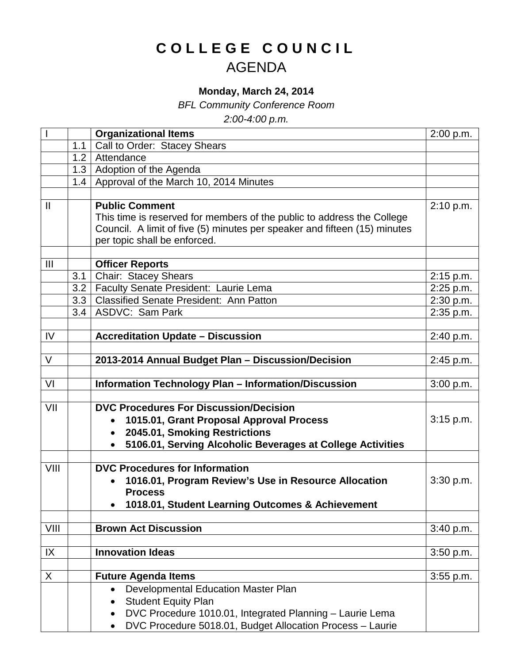## **COLLEGE COUNCIL** AGENDA

## **Monday, March 24, 2014**

*BFL Community Conference Room*

*2:00-4:00 p.m.*

|                |                  | <b>Organizational Items</b>                                               | 2:00 p.m. |
|----------------|------------------|---------------------------------------------------------------------------|-----------|
|                | 1.1              | Call to Order: Stacey Shears                                              |           |
|                | 1.2              | Attendance                                                                |           |
|                |                  | 1.3   Adoption of the Agenda                                              |           |
|                |                  | 1.4   Approval of the March 10, 2014 Minutes                              |           |
|                |                  |                                                                           |           |
| $\mathbf{I}$   |                  | <b>Public Comment</b>                                                     | 2:10 p.m. |
|                |                  | This time is reserved for members of the public to address the College    |           |
|                |                  | Council. A limit of five (5) minutes per speaker and fifteen (15) minutes |           |
|                |                  | per topic shall be enforced.                                              |           |
|                |                  |                                                                           |           |
| $\mathbf{III}$ |                  | <b>Officer Reports</b>                                                    |           |
|                | 3.1              | <b>Chair: Stacey Shears</b>                                               | 2:15 p.m. |
|                | 3.2 <sub>1</sub> | Faculty Senate President: Laurie Lema                                     | 2:25 p.m. |
|                |                  | 3.3   Classified Senate President: Ann Patton                             | 2:30 p.m. |
|                | 3.4              | <b>ASDVC: Sam Park</b>                                                    | 2:35 p.m. |
|                |                  |                                                                           |           |
| IV             |                  | <b>Accreditation Update - Discussion</b>                                  | 2:40 p.m. |
|                |                  |                                                                           |           |
| $\vee$         |                  | 2013-2014 Annual Budget Plan - Discussion/Decision                        | 2:45 p.m. |
|                |                  |                                                                           |           |
| VI             |                  | <b>Information Technology Plan - Information/Discussion</b>               | 3:00 p.m. |
| VII            |                  | <b>DVC Procedures For Discussion/Decision</b>                             |           |
|                |                  | 1015.01, Grant Proposal Approval Process                                  | 3:15 p.m. |
|                |                  | 2045.01, Smoking Restrictions                                             |           |
|                |                  | 5106.01, Serving Alcoholic Beverages at College Activities                |           |
|                |                  |                                                                           |           |
| VIII           |                  | <b>DVC Procedures for Information</b>                                     |           |
|                |                  | 1016.01, Program Review's Use in Resource Allocation                      | 3:30 p.m. |
|                |                  | <b>Process</b>                                                            |           |
|                |                  | 1018.01, Student Learning Outcomes & Achievement                          |           |
|                |                  |                                                                           |           |
| VIII           |                  | <b>Brown Act Discussion</b>                                               | 3:40 p.m. |
|                |                  |                                                                           |           |
| IX             |                  | <b>Innovation Ideas</b>                                                   | 3:50 p.m. |
|                |                  |                                                                           |           |
| X              |                  | <b>Future Agenda Items</b>                                                | 3:55 p.m. |
|                |                  | Developmental Education Master Plan                                       |           |
|                |                  | <b>Student Equity Plan</b>                                                |           |
|                |                  | DVC Procedure 1010.01, Integrated Planning - Laurie Lema                  |           |
|                |                  | DVC Procedure 5018.01, Budget Allocation Process - Laurie<br>$\bullet$    |           |